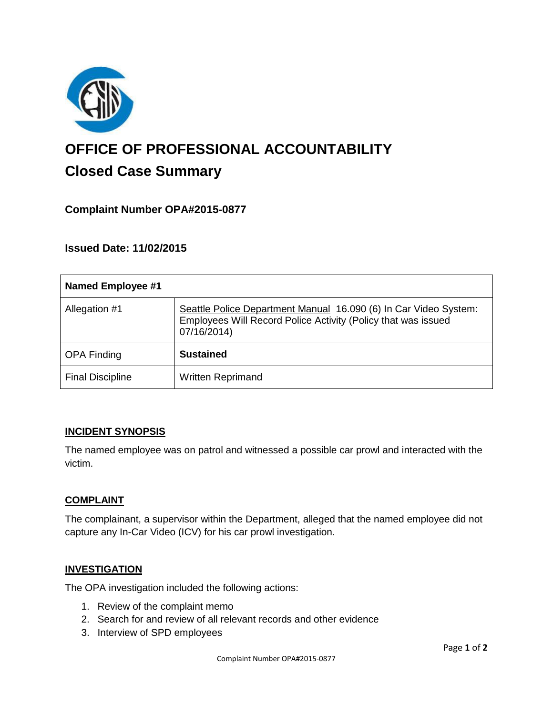

# **OFFICE OF PROFESSIONAL ACCOUNTABILITY Closed Case Summary**

## **Complaint Number OPA#2015-0877**

**Issued Date: 11/02/2015**

| <b>Named Employee #1</b> |                                                                                                                                                  |
|--------------------------|--------------------------------------------------------------------------------------------------------------------------------------------------|
| Allegation #1            | Seattle Police Department Manual 16.090 (6) In Car Video System:<br>Employees Will Record Police Activity (Policy that was issued<br>07/16/2014) |
| <b>OPA Finding</b>       | <b>Sustained</b>                                                                                                                                 |
| <b>Final Discipline</b>  | <b>Written Reprimand</b>                                                                                                                         |

#### **INCIDENT SYNOPSIS**

The named employee was on patrol and witnessed a possible car prowl and interacted with the victim.

#### **COMPLAINT**

The complainant, a supervisor within the Department, alleged that the named employee did not capture any In-Car Video (ICV) for his car prowl investigation.

#### **INVESTIGATION**

The OPA investigation included the following actions:

- 1. Review of the complaint memo
- 2. Search for and review of all relevant records and other evidence
- 3. Interview of SPD employees